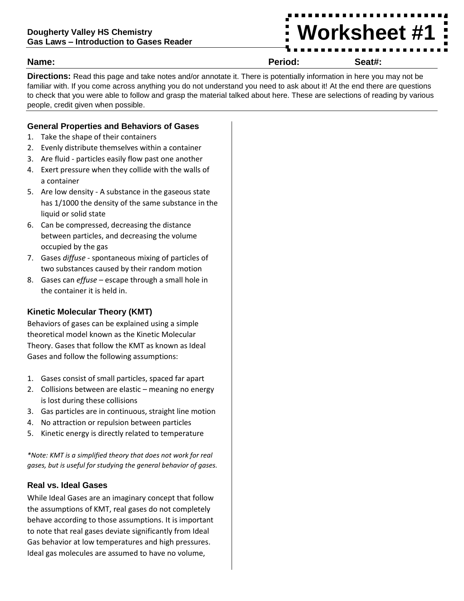# **Worksheet #1**

**Name: Period: Seat#:**

**Directions:** Read this page and take notes and/or annotate it. There is potentially information in here you may not be familiar with. If you come across anything you do not understand you need to ask about it! At the end there are questions to check that you were able to follow and grasp the material talked about here. These are selections of reading by various people, credit given when possible.

#### **General Properties and Behaviors of Gases**

- 1. Take the shape of their containers
- 2. Evenly distribute themselves within a container
- 3. Are fluid particles easily flow past one another
- 4. Exert pressure when they collide with the walls of a container
- 5. Are low density A substance in the gaseous state has 1/1000 the density of the same substance in the liquid or solid state
- 6. Can be compressed, decreasing the distance between particles, and decreasing the volume occupied by the gas
- 7. Gases *diffuse* spontaneous mixing of particles of two substances caused by their random motion
- 8. Gases can *effuse* escape through a small hole in the container it is held in.

#### **Kinetic Molecular Theory (KMT)**

Behaviors of gases can be explained using a simple theoretical model known as the Kinetic Molecular Theory. Gases that follow the KMT as known as Ideal Gases and follow the following assumptions:

- 1. Gases consist of small particles, spaced far apart
- 2. Collisions between are elastic meaning no energy is lost during these collisions
- 3. Gas particles are in continuous, straight line motion
- 4. No attraction or repulsion between particles
- 5. Kinetic energy is directly related to temperature

*\*Note: KMT is a simplified theory that does not work for real gases, but is useful for studying the general behavior of gases.* 

#### **Real vs. Ideal Gases**

While Ideal Gases are an imaginary concept that follow the assumptions of KMT, real gases do not completely behave according to those assumptions. It is important to note that real gases deviate significantly from Ideal Gas behavior at low temperatures and high pressures. Ideal gas molecules are assumed to have no volume,